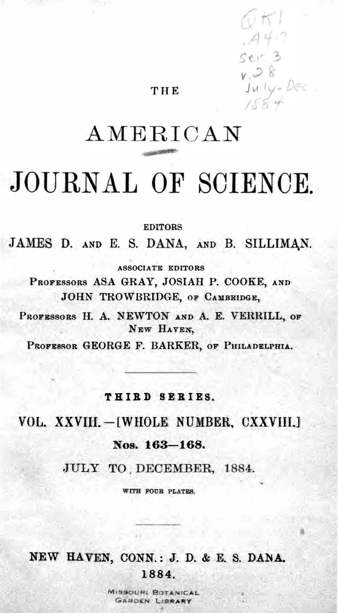

# JOURNAL OF SCIENCE.

EDITORS JAMES D. AND E. S. DANA, AND B. SILLIMAN.

ASSOCIATE EDITORS PROFESSORS ASA GRAY, JOSIAH P. COOKE, AND JOHN TROWBRIDGE, OF CAMBRIDGE, PROFESSORS H. A. NEWTON AND A. E. VERRILL, OF NEW HAVEN,

PROFESSOR GEORGE F. BARKER, OF PHILADELPHIA.

#### THIRD SERIES.

## VOL. XXVIII. - [WHOLE NUMBER, CXXVIII.] Nos. 163-168. JULY TO DECEMBER, 1884.

WITH FOUR PLATES.

### NEW HAVEN, CONN.: J. D. & E. S. DANA.

1884.

MISSOURI BOTANICAL GARDEN LIBRARY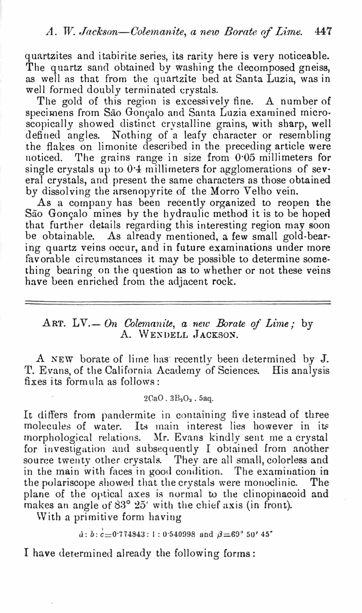#### A. W. Jackson—Colemanite, a new Borate of Lime. 447

quartzites and itabirite serie<sup>s</sup>, its rarity here is very noticeable. The quartz sand obtained by washing the decomposed gneis<sup>s</sup>, as well as that from the quartzite bed at Santa Luzia, was in well formed doubly terminated crystals.

The gold of this region is excessively fine. A number of specimens from São Gonçalo and Santa Luzia examined microscopically showed distinct crystalline grains, with sharp, well defined angles. Nothing of a leafy character or resembling the flakes on limonite described in the preceding article were noticed. The grains range in size from  $0.05$  millimeters for single crystals up to 0.4 millimeters for agglomerations of sev-. eral crystals, and present the same characters as those obtained by dissolving the a<sup>r</sup>senopyrite of the Morro Velho vein. As a company has been recently organized to reopen the São Gonçalo mines by the hydraulic method it is to be hoped that further details regarding this interesting region may soon be obtainable. As already mentioned, a few small gold-bearing quartz veins occur, and in future examinations under more favorable circumstances it may be possible to determine something bearing on the question as to whether or not these veins have been enriched from the adjacent rock.

#### ART. LV. - On Colemanite, a new Borate of Lime; by A. WENDELL JACKSON.

A NEW borate of lime has recently been determined by J. T. Evans, of the California Academy of Sciences. His analysis fixes its formula as follows:

2CaO. 3B<sub>2</sub>O<sub>3</sub>. 5aq.

It differs from pandermite in containing five instead of three molecules of water. Its main interest lies however in its morphological relations. Mr. Evans kindly sent me a crystal for investigation and subsequently I obtained from another source twenty other crystals. They are all small, colorless and in the main with faces in good condition. The examination in the polariscope showed that the crystals were monoclinic. The plane of the optical axes is normal to the clinopinacoid and makes an angle of 83° 25' with the chief axis (in front). With a primitive form having

 $\dot{a}: \bar{b}: c = 0.774843: 1: 0.540998$  and  $\beta = 69^{\circ} 50' 45''$ 

### I have determined already the following forms:

•